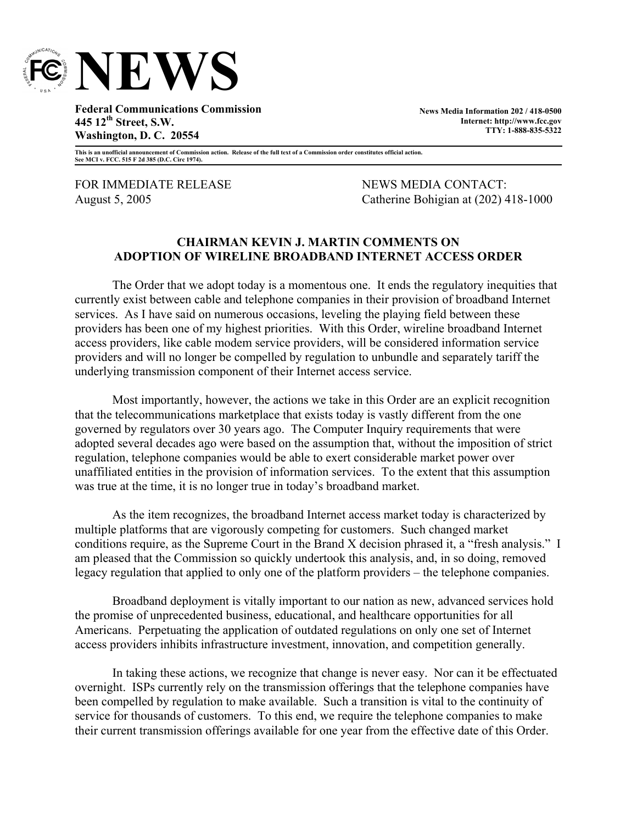

**Federal Communications Commission 445 12th Street, S.W. Washington, D. C. 20554** 

**News Media Information 202 / 418-0500 Internet: http://www.fcc.gov TTY: 1-888-835-5322**

**This is an unofficial announcement of Commission action. Release of the full text of a Commission order constitutes official action. See MCI v. FCC. 515 F 2d 385 (D.C. Circ 1974).** 

FOR IMMEDIATE RELEASE NEWS MEDIA CONTACT:

August 5, 2005 Catherine Bohigian at (202) 418-1000

## **CHAIRMAN KEVIN J. MARTIN COMMENTS ON ADOPTION OF WIRELINE BROADBAND INTERNET ACCESS ORDER**

The Order that we adopt today is a momentous one. It ends the regulatory inequities that currently exist between cable and telephone companies in their provision of broadband Internet services. As I have said on numerous occasions, leveling the playing field between these providers has been one of my highest priorities. With this Order, wireline broadband Internet access providers, like cable modem service providers, will be considered information service providers and will no longer be compelled by regulation to unbundle and separately tariff the underlying transmission component of their Internet access service.

Most importantly, however, the actions we take in this Order are an explicit recognition that the telecommunications marketplace that exists today is vastly different from the one governed by regulators over 30 years ago. The Computer Inquiry requirements that were adopted several decades ago were based on the assumption that, without the imposition of strict regulation, telephone companies would be able to exert considerable market power over unaffiliated entities in the provision of information services. To the extent that this assumption was true at the time, it is no longer true in today's broadband market.

As the item recognizes, the broadband Internet access market today is characterized by multiple platforms that are vigorously competing for customers. Such changed market conditions require, as the Supreme Court in the Brand X decision phrased it, a "fresh analysis." I am pleased that the Commission so quickly undertook this analysis, and, in so doing, removed legacy regulation that applied to only one of the platform providers – the telephone companies.

Broadband deployment is vitally important to our nation as new, advanced services hold the promise of unprecedented business, educational, and healthcare opportunities for all Americans. Perpetuating the application of outdated regulations on only one set of Internet access providers inhibits infrastructure investment, innovation, and competition generally.

In taking these actions, we recognize that change is never easy. Nor can it be effectuated overnight. ISPs currently rely on the transmission offerings that the telephone companies have been compelled by regulation to make available. Such a transition is vital to the continuity of service for thousands of customers. To this end, we require the telephone companies to make their current transmission offerings available for one year from the effective date of this Order.